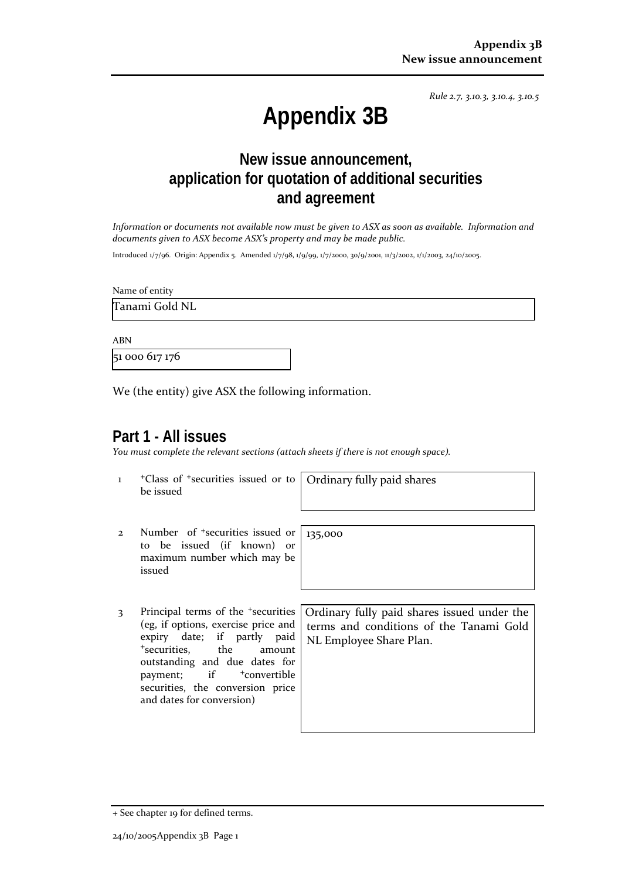*Rule 2.7, 3.10.3, 3.10.4, 3.10.5*

# **Appendix 3B**

## **New issue announcement, application for quotation of additional securities and agreement**

*Information or documents not available now must be given to ASX as soon as available. Information and documents given to ASX become ASX's property and may be made public.*

Introduced 1/7/96. Origin: Appendix 5. Amended 1/7/98, 1/9/99, 1/7/2000, 30/9/2001, 11/3/2002, 1/1/2003, 24/10/2005.

Name of entity

Tanami Gold NL

ABN

51 000 617 176

We (the entity) give ASX the following information.

### **Part 1 - All issues**

*You must complete the relevant sections (attach sheets if there is not enough space).*

135,000

1 +Class of +securities issued or to be issued

Ordinary fully paid shares

- 2 Number of +securities issued or to be issued (if known) or maximum number which may be issued
- 3 Principal terms of the <sup>+</sup>securities (eg, if options, exercise price and expiry date; if partly paid <sup>+</sup>securities, the amount outstanding and due dates for payment; if  $+$ convertible securities, the conversion price and dates for conversion)

Ordinary fully paid shares issued under the terms and conditions of the Tanami Gold NL Employee Share Plan.

<sup>+</sup> See chapter 19 for defined terms.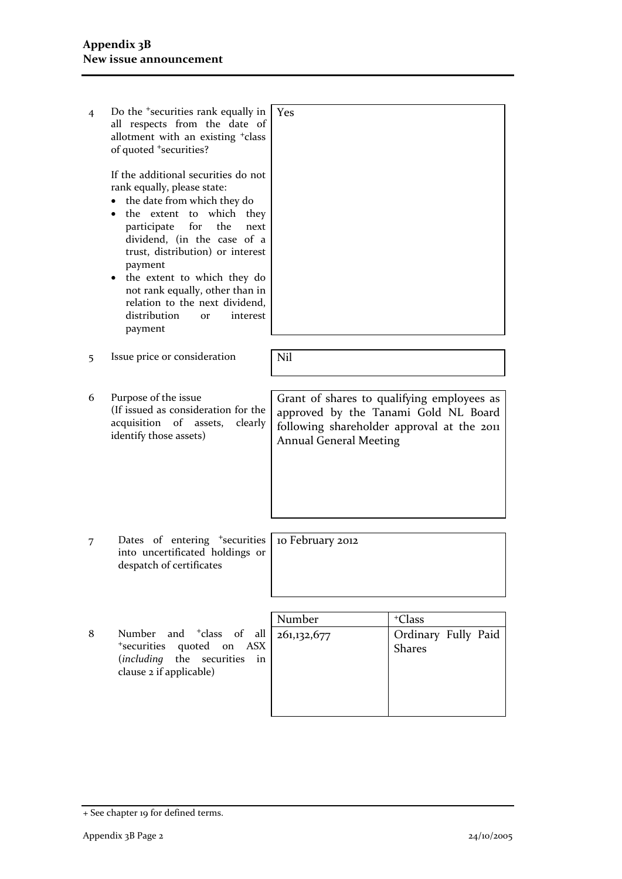| $\overline{4}$ | Do the <sup>+</sup> securities rank equally in<br>all respects from the date of<br>allotment with an existing <sup>+</sup> class<br>of quoted <sup>+</sup> securities?<br>If the additional securities do not | Yes                                                                                                                                                               |                                      |
|----------------|---------------------------------------------------------------------------------------------------------------------------------------------------------------------------------------------------------------|-------------------------------------------------------------------------------------------------------------------------------------------------------------------|--------------------------------------|
|                | rank equally, please state:<br>the date from which they do<br>the extent to which<br>they<br>participate<br>for<br>the<br>next<br>dividend, (in the case of a<br>trust, distribution) or interest<br>payment  |                                                                                                                                                                   |                                      |
|                | the extent to which they do<br>not rank equally, other than in<br>relation to the next dividend,<br>distribution<br>interest<br><b>or</b><br>payment                                                          |                                                                                                                                                                   |                                      |
| 5              | Issue price or consideration                                                                                                                                                                                  | Nil                                                                                                                                                               |                                      |
|                |                                                                                                                                                                                                               |                                                                                                                                                                   |                                      |
| 6              | Purpose of the issue<br>(If issued as consideration for the<br>acquisition of assets,<br>clearly<br>identify those assets)                                                                                    | Grant of shares to qualifying employees as<br>approved by the Tanami Gold NL Board<br>following shareholder approval at the 2011<br><b>Annual General Meeting</b> |                                      |
|                |                                                                                                                                                                                                               |                                                                                                                                                                   |                                      |
| 7              | Dates of entering <sup>+</sup> securities<br>into uncertificated holdings or<br>despatch of certificates                                                                                                      | 10 February 2012                                                                                                                                                  |                                      |
|                |                                                                                                                                                                                                               |                                                                                                                                                                   |                                      |
|                |                                                                                                                                                                                                               | Number                                                                                                                                                            | <sup>+</sup> Class                   |
| 8              | and <sup>+</sup> class of<br>Number<br>all<br><sup>+</sup> securities<br>quoted<br>ASX<br>on<br>including)<br>the<br>securities<br>in<br>clause 2 if applicable)                                              | 261,132,677                                                                                                                                                       | Ordinary Fully Paid<br><b>Shares</b> |
|                |                                                                                                                                                                                                               |                                                                                                                                                                   |                                      |

<sup>+</sup> See chapter 19 for defined terms.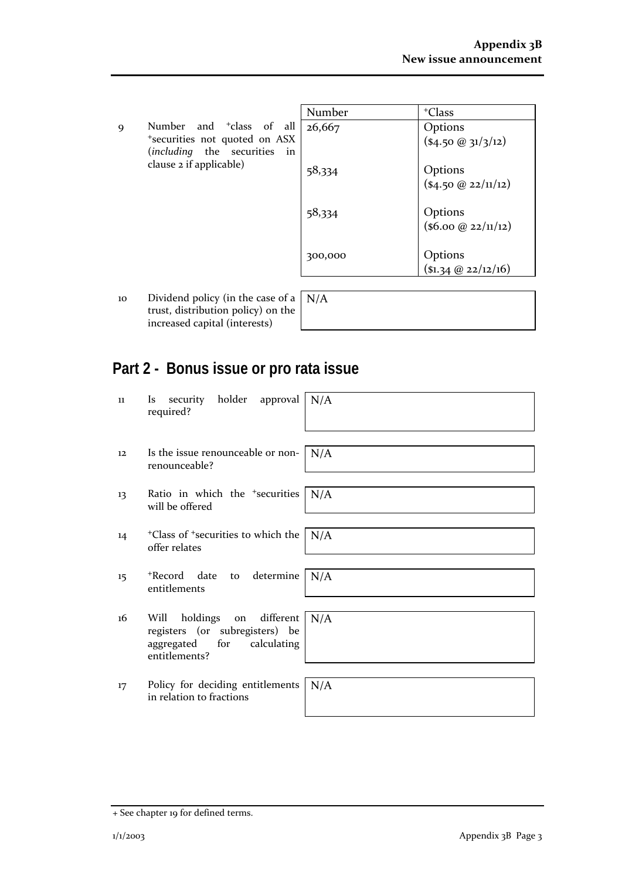9 Number and <sup>+</sup>class of all <sup>+</sup>securities not quoted on ASX (*including* the securities in clause 2 if applicable)

| Number  | <sup>+</sup> Class     |
|---------|------------------------|
| 26,667  | Options                |
|         | $(*4.50@31/3/12)$      |
| 58,334  | Options                |
|         | $($ \$4.50 @ 22/11/12) |
|         |                        |
| 58,334  | Options                |
|         | (\$6.00 @ 22/11/12)    |
|         |                        |
| 300,000 | Options                |
|         | $($ \$1.34 @ 22/12/16) |

10 Dividend policy (in the case of a trust, distribution policy) on the increased capital (interests)

| N/A |  |  |  |
|-----|--|--|--|
|     |  |  |  |

## **Part 2 - Bonus issue or pro rata issue**

| 11 | security holder approval<br><i>Is</i><br>required?                                                                   | N/A |
|----|----------------------------------------------------------------------------------------------------------------------|-----|
| 12 | Is the issue renounceable or non-<br>renounceable?                                                                   | N/A |
| 13 | Ratio in which the <sup>+</sup> securities<br>will be offered                                                        | N/A |
| 14 | <sup>+</sup> Class of <sup>+</sup> securities to which the<br>offer relates                                          | N/A |
| 15 | +Record date<br>to determine<br>entitlements                                                                         | N/A |
| 16 | holdings<br>on different<br>Will<br>registers (or subregisters) be<br>calculating<br>aggregated for<br>entitlements? | N/A |
| 17 | Policy for deciding entitlements<br>in relation to fractions                                                         | N/A |

<sup>+</sup> See chapter 19 for defined terms.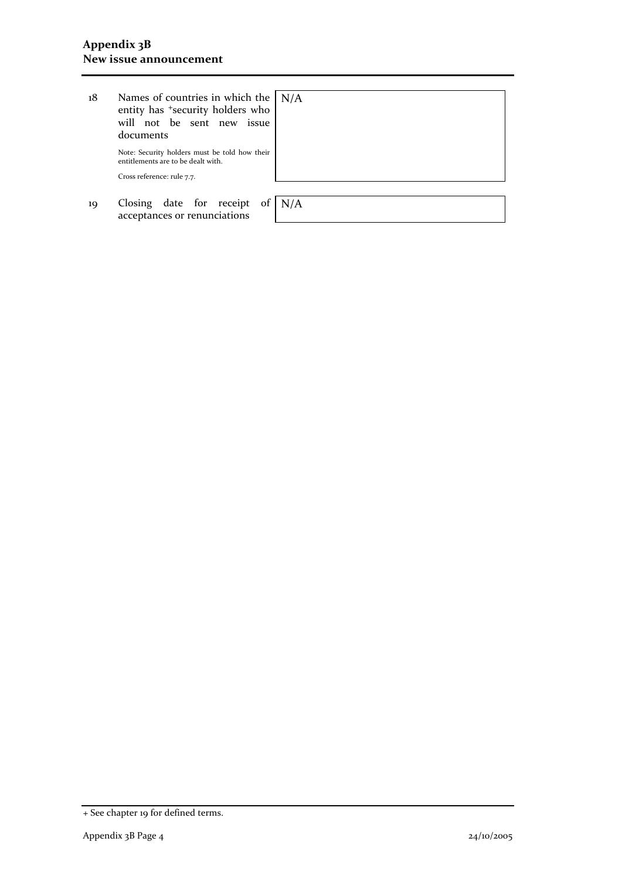| 18 | Names of countries in which the $\vert N/A \rangle$<br>entity has <sup>+</sup> security holders who<br>will not be sent new issue<br>documents |     |
|----|------------------------------------------------------------------------------------------------------------------------------------------------|-----|
|    | Note: Security holders must be told how their<br>entitlements are to be dealt with.<br>Cross reference: rule 7.7.                              |     |
| 19 | Closing date for receipt of<br>acceptances or renunciations                                                                                    | N/A |

<sup>+</sup> See chapter 19 for defined terms.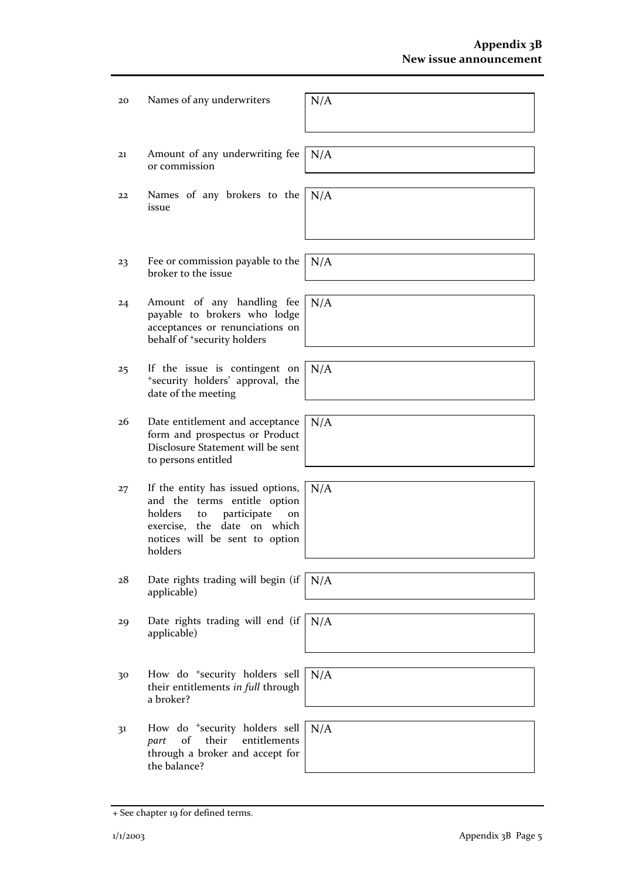| 20 | Names of any underwriters                                                                                                                                                              | N/A |
|----|----------------------------------------------------------------------------------------------------------------------------------------------------------------------------------------|-----|
| 21 | Amount of any underwriting fee<br>or commission                                                                                                                                        | N/A |
| 22 | Names of any brokers to the<br>issue                                                                                                                                                   | N/A |
|    |                                                                                                                                                                                        |     |
| 23 | Fee or commission payable to the<br>broker to the issue                                                                                                                                | N/A |
| 24 | Amount of any handling fee<br>payable to brokers who lodge<br>acceptances or renunciations on<br>behalf of <sup>+</sup> security holders                                               | N/A |
| 25 | If the issue is contingent on<br>*security holders' approval, the<br>date of the meeting                                                                                               | N/A |
| 26 | Date entitlement and acceptance<br>form and prospectus or Product<br>Disclosure Statement will be sent<br>to persons entitled                                                          | N/A |
| 27 | If the entity has issued options,<br>and the terms entitle option<br>holders<br>participate<br>to<br>on<br>the date on which<br>exercise,<br>notices will be sent to option<br>holders | N/A |
| 28 | Date rights trading will begin (if<br>applicable)                                                                                                                                      | N/A |
| 29 | Date rights trading will end (if<br>applicable)                                                                                                                                        | N/A |
| 30 | How do <sup>+</sup> security holders sell<br>their entitlements in full through<br>a broker?                                                                                           | N/A |
| 31 | How do <sup>+</sup> security holders sell<br>their<br>entitlements<br>of<br>part<br>through a broker and accept for<br>the balance?                                                    | N/A |

<sup>+</sup> See chapter 19 for defined terms.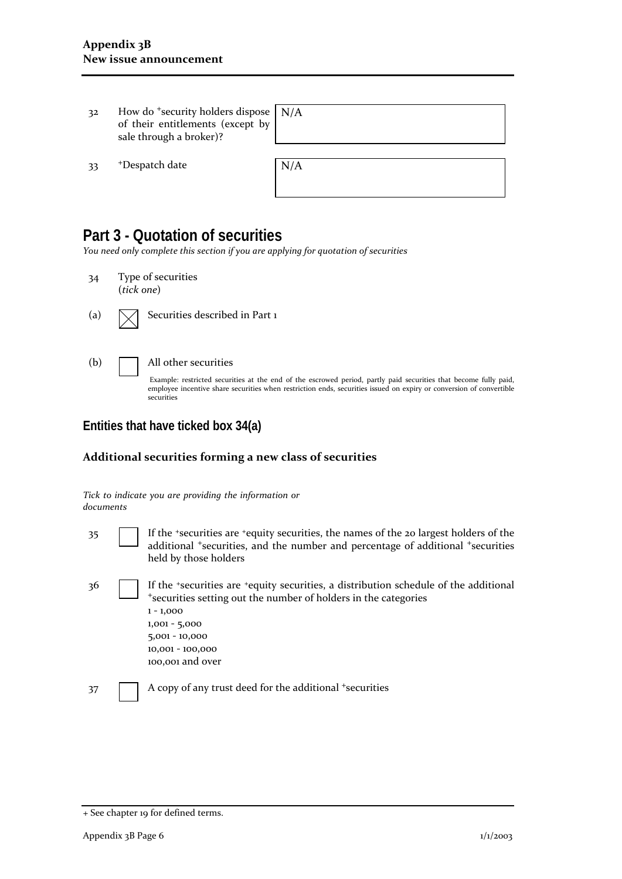| 32  | How do $\pm$ security holders dispose $\mid N/A \rangle$<br>of their entitlements (except by<br>sale through a broker)? |     |
|-----|-------------------------------------------------------------------------------------------------------------------------|-----|
| -33 | <sup>+</sup> Despatch date                                                                                              | N/A |

## **Part 3 - Quotation of securities**

*You need only complete this section if you are applying for quotation of securities*

| 34  | Type of securities<br>(tick one)                                                                                                                                                                                                                                              |
|-----|-------------------------------------------------------------------------------------------------------------------------------------------------------------------------------------------------------------------------------------------------------------------------------|
| (a) | Securities described in Part 1                                                                                                                                                                                                                                                |
| (b) | All other securities<br>Example: restricted securities at the end of the escrowed period, partly paid securities that become fully paid,<br>employee incentive share securities when restriction ends, securities issued on expiry or conversion of convertible<br>securities |

**Entities that have ticked box 34(a)**

#### **Additional securities forming a new class of securities**

|           |  |  | Tick to indicate you are providing the information or |  |
|-----------|--|--|-------------------------------------------------------|--|
| documents |  |  |                                                       |  |

- 35 If the <sup>+</sup>securities are <sup>+</sup>equity securities, the names of the 20 largest holders of the additional <sup>+</sup>securities, and the number and percentage of additional <sup>+</sup>securities held by those holders
- 36 If the <sup>+</sup>securities are <sup>+</sup>equity securities, a distribution schedule of the additional <sup>+</sup>securities setting out the number of holders in the categories 1 - 1,000 1,001 - 5,000 5,001 - 10,000 10,001 - 100,000 100,001 and over

37 A copy of any trust deed for the additional +securities

<sup>+</sup> See chapter 19 for defined terms.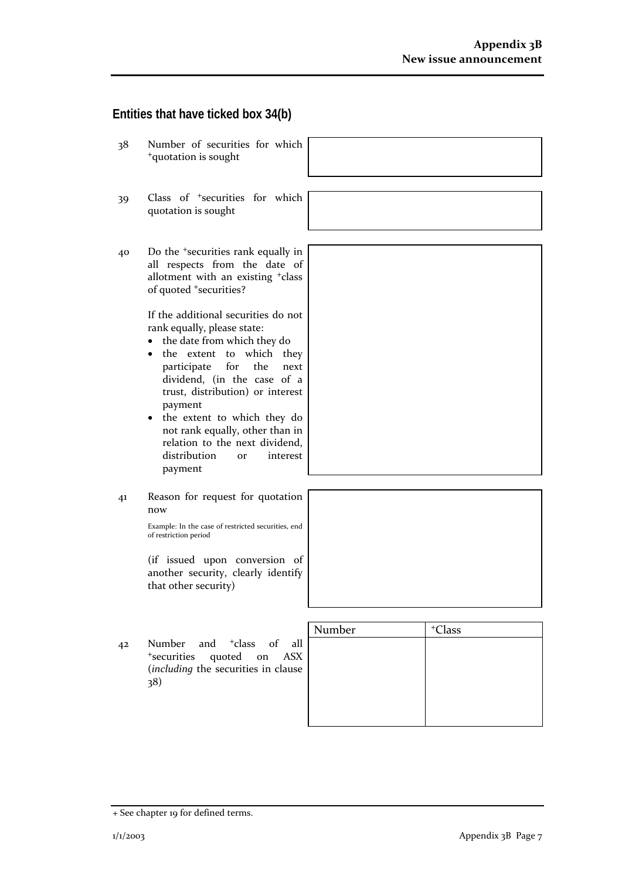## **Entities that have ticked box 34(b)**

38 Number of securities for which <sup>+</sup>quotation is sought 39 Class of <sup>+</sup>securities for which quotation is sought 40 Do the <sup>+</sup>securities rank equally in all respects from the date of allotment with an existing <sup>+</sup>class of quoted <sup>+</sup>securities? If the additional securities do not rank equally, please state: • the date from which they do • the extent to which they participate for the next dividend, (in the case of a trust, distribution) or interest payment • the extent to which they do not rank equally, other than in relation to the next dividend, distribution or interest payment 41 Reason for request for quotation now Example: In the case of restricted securities, end of restriction period (if issued upon conversion of another security, clearly identify that other security) Number | +Class 42 Number and <sup>+</sup>class of all <sup>+</sup>securities quoted on ASX (*including* the securities in clause

38)

<sup>+</sup> See chapter 19 for defined terms.